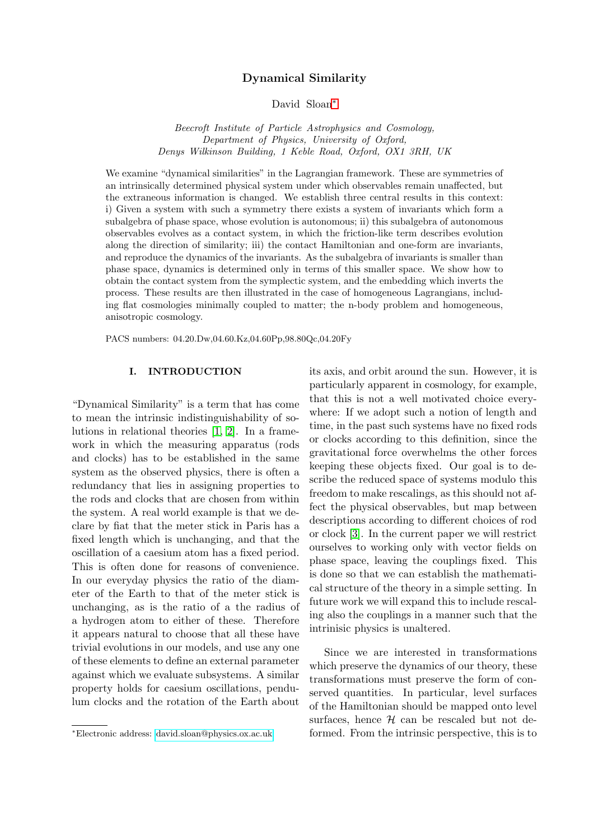# Dynamical Similarity

## David Sloan[∗](#page-0-0)

Beecroft Institute of Particle Astrophysics and Cosmology, Department of Physics, University of Oxford, Denys Wilkinson Building, 1 Keble Road, Oxford, OX1 3RH, UK

We examine "dynamical similarities" in the Lagrangian framework. These are symmetries of an intrinsically determined physical system under which observables remain unaffected, but the extraneous information is changed. We establish three central results in this context: i) Given a system with such a symmetry there exists a system of invariants which form a subalgebra of phase space, whose evolution is autonomous; ii) this subalgebra of autonomous observables evolves as a contact system, in which the friction-like term describes evolution along the direction of similarity; iii) the contact Hamiltonian and one-form are invariants, and reproduce the dynamics of the invariants. As the subalgebra of invariants is smaller than phase space, dynamics is determined only in terms of this smaller space. We show how to obtain the contact system from the symplectic system, and the embedding which inverts the process. These results are then illustrated in the case of homogeneous Lagrangians, including flat cosmologies minimally coupled to matter; the n-body problem and homogeneous, anisotropic cosmology.

PACS numbers: 04.20.Dw,04.60.Kz,04.60Pp,98.80Qc,04.20Fy

### I. INTRODUCTION

"Dynamical Similarity" is a term that has come to mean the intrinsic indistinguishability of solutions in relational theories [\[1,](#page-13-0) [2\]](#page-13-1). In a framework in which the measuring apparatus (rods and clocks) has to be established in the same system as the observed physics, there is often a redundancy that lies in assigning properties to the rods and clocks that are chosen from within the system. A real world example is that we declare by fiat that the meter stick in Paris has a fixed length which is unchanging, and that the oscillation of a caesium atom has a fixed period. This is often done for reasons of convenience. In our everyday physics the ratio of the diameter of the Earth to that of the meter stick is unchanging, as is the ratio of a the radius of a hydrogen atom to either of these. Therefore it appears natural to choose that all these have trivial evolutions in our models, and use any one of these elements to define an external parameter against which we evaluate subsystems. A similar property holds for caesium oscillations, pendulum clocks and the rotation of the Earth about

its axis, and orbit around the sun. However, it is particularly apparent in cosmology, for example, that this is not a well motivated choice everywhere: If we adopt such a notion of length and time, in the past such systems have no fixed rods or clocks according to this definition, since the gravitational force overwhelms the other forces keeping these objects fixed. Our goal is to describe the reduced space of systems modulo this freedom to make rescalings, as this should not affect the physical observables, but map between descriptions according to different choices of rod or clock [\[3\]](#page-13-2). In the current paper we will restrict ourselves to working only with vector fields on phase space, leaving the couplings fixed. This is done so that we can establish the mathematical structure of the theory in a simple setting. In future work we will expand this to include rescaling also the couplings in a manner such that the intrinisic physics is unaltered.

Since we are interested in transformations which preserve the dynamics of our theory, these transformations must preserve the form of conserved quantities. In particular, level surfaces of the Hamiltonian should be mapped onto level surfaces, hence  $H$  can be rescaled but not deformed. From the intrinsic perspective, this is to

<span id="page-0-0"></span><sup>∗</sup>Electronic address: [david.sloan@physics.ox.ac.uk](mailto:david.sloan@physics.ox.ac.uk)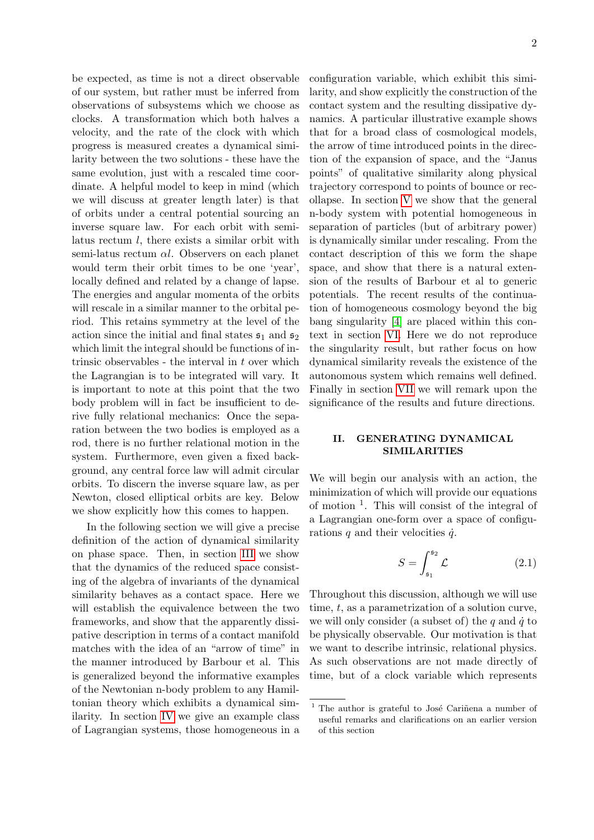be expected, as time is not a direct observable of our system, but rather must be inferred from observations of subsystems which we choose as clocks. A transformation which both halves a velocity, and the rate of the clock with which progress is measured creates a dynamical similarity between the two solutions - these have the same evolution, just with a rescaled time coordinate. A helpful model to keep in mind (which we will discuss at greater length later) is that of orbits under a central potential sourcing an inverse square law. For each orbit with semilatus rectum l, there exists a similar orbit with semi-latus rectum  $\alpha l$ . Observers on each planet would term their orbit times to be one 'year', locally defined and related by a change of lapse. The energies and angular momenta of the orbits will rescale in a similar manner to the orbital period. This retains symmetry at the level of the action since the initial and final states  $\mathfrak{s}_1$  and  $\mathfrak{s}_2$ which limit the integral should be functions of intrinsic observables - the interval in t over which the Lagrangian is to be integrated will vary. It is important to note at this point that the two body problem will in fact be insufficient to derive fully relational mechanics: Once the separation between the two bodies is employed as a rod, there is no further relational motion in the system. Furthermore, even given a fixed background, any central force law will admit circular orbits. To discern the inverse square law, as per Newton, closed elliptical orbits are key. Below we show explicitly how this comes to happen.

In the following section we will give a precise definition of the action of dynamical similarity on phase space. Then, in section [III](#page-4-0) we show that the dynamics of the reduced space consisting of the algebra of invariants of the dynamical similarity behaves as a contact space. Here we will establish the equivalence between the two frameworks, and show that the apparently dissipative description in terms of a contact manifold matches with the idea of an "arrow of time" in the manner introduced by Barbour et al. This is generalized beyond the informative examples of the Newtonian n-body problem to any Hamiltonian theory which exhibits a dynamical similarity. In section [IV](#page-6-0) we give an example class of Lagrangian systems, those homogeneous in a configuration variable, which exhibit this similarity, and show explicitly the construction of the contact system and the resulting dissipative dynamics. A particular illustrative example shows that for a broad class of cosmological models, the arrow of time introduced points in the direction of the expansion of space, and the "Janus points" of qualitative similarity along physical trajectory correspond to points of bounce or recollapse. In section [V](#page-8-0) we show that the general n-body system with potential homogeneous in separation of particles (but of arbitrary power) is dynamically similar under rescaling. From the contact description of this we form the shape space, and show that there is a natural extension of the results of Barbour et al to generic potentials. The recent results of the continuation of homogeneous cosmology beyond the big bang singularity [\[4\]](#page-13-3) are placed within this context in section [VI.](#page-11-0) Here we do not reproduce the singularity result, but rather focus on how dynamical similarity reveals the existence of the autonomous system which remains well defined. Finally in section [VII](#page-12-0) we will remark upon the significance of the results and future directions.

### II. GENERATING DYNAMICAL SIMILARITIES

We will begin our analysis with an action, the minimization of which will provide our equations of motion <sup>1</sup> . This will consist of the integral of a Lagrangian one-form over a space of configurations  $q$  and their velocities  $\dot{q}$ .

$$
S = \int_{\mathfrak{s}_1}^{\mathfrak{s}_2} \mathcal{L} \tag{2.1}
$$

Throughout this discussion, although we will use time,  $t$ , as a parametrization of a solution curve, we will only consider (a subset of) the q and  $\dot{q}$  to be physically observable. Our motivation is that we want to describe intrinsic, relational physics. As such observations are not made directly of time, but of a clock variable which represents

 $1$  The author is grateful to José Cariñena a number of useful remarks and clarifications on an earlier version of this section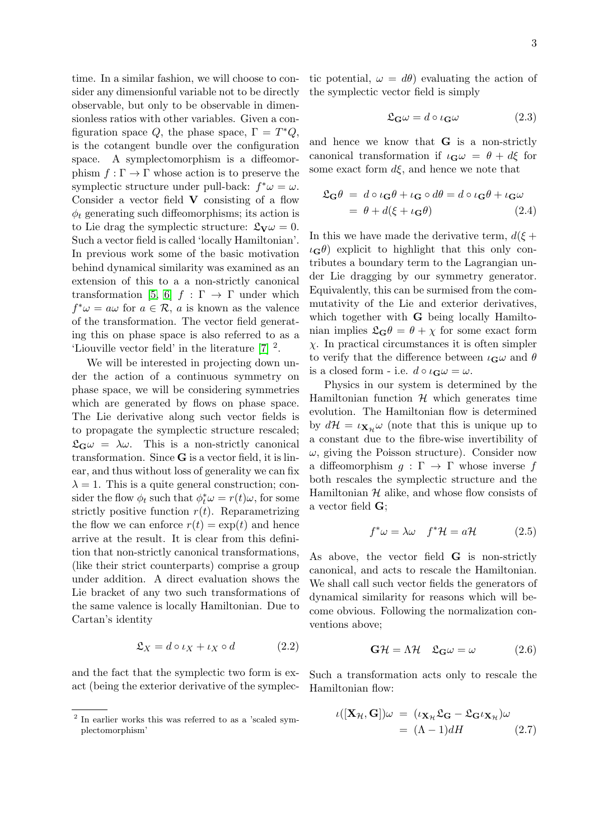time. In a similar fashion, we will choose to consider any dimensionful variable not to be directly observable, but only to be observable in dimensionless ratios with other variables. Given a configuration space Q, the phase space,  $\Gamma = T^*Q$ , is the cotangent bundle over the configuration space. A symplectomorphism is a diffeomorphism  $f : \Gamma \to \Gamma$  whose action is to preserve the symplectic structure under pull-back:  $f^*\omega = \omega$ . Consider a vector field  $\bf{V}$  consisting of a flow  $\phi_t$  generating such diffeomorphisms; its action is to Lie drag the symplectic structure:  $\mathfrak{L}_{\mathbf{V}}\omega = 0$ . Such a vector field is called 'locally Hamiltonian'. In previous work some of the basic motivation behind dynamical similarity was examined as an extension of this to a a non-strictly canonical transformation [\[5,](#page-14-0) [6\]](#page-14-1)  $f : \Gamma \to \Gamma$  under which  $f^*\omega = a\omega$  for  $a \in \mathcal{R}$ , a is known as the valence of the transformation. The vector field generating this on phase space is also referred to as a 'Liouville vector field' in the literature  $[7]$ <sup>2</sup>.

We will be interested in projecting down under the action of a continuous symmetry on phase space, we will be considering symmetries which are generated by flows on phase space. The Lie derivative along such vector fields is to propagate the symplectic structure rescaled;  $\mathfrak{L}_{\mathbf{G}}\omega = \lambda\omega$ . This is a non-strictly canonical transformation. Since G is a vector field, it is linear, and thus without loss of generality we can fix  $\lambda = 1$ . This is a quite general construction; consider the flow  $\phi_t$  such that  $\phi_t^* \omega = r(t) \omega$ , for some strictly positive function  $r(t)$ . Reparametrizing the flow we can enforce  $r(t) = \exp(t)$  and hence arrive at the result. It is clear from this definition that non-strictly canonical transformations, (like their strict counterparts) comprise a group under addition. A direct evaluation shows the Lie bracket of any two such transformations of the same valence is locally Hamiltonian. Due to Cartan's identity

$$
\mathfrak{L}_X = d \circ \iota_X + \iota_X \circ d \tag{2.2}
$$

and the fact that the symplectic two form is exact (being the exterior derivative of the symplectic potential,  $\omega = d\theta$  evaluating the action of the symplectic vector field is simply

$$
\mathfrak{L}_{\mathbf{G}}\omega = d \circ \iota_{\mathbf{G}}\omega \tag{2.3}
$$

and hence we know that G is a non-strictly canonical transformation if  $\iota_{\mathbf{G}} \omega = \theta + d\xi$  for some exact form  $d\xi$ , and hence we note that

$$
\mathfrak{L}_{\mathbf{G}}\theta = d \circ \iota_{\mathbf{G}}\theta + \iota_{\mathbf{G}} \circ d\theta = d \circ \iota_{\mathbf{G}}\theta + \iota_{\mathbf{G}}\omega
$$

$$
= \theta + d(\xi + \iota_{\mathbf{G}}\theta) \tag{2.4}
$$

In this we have made the derivative term,  $d(\xi +$  $\iota_{\mathbf{G}}\theta$  explicit to highlight that this only contributes a boundary term to the Lagrangian under Lie dragging by our symmetry generator. Equivalently, this can be surmised from the commutativity of the Lie and exterior derivatives, which together with **G** being locally Hamiltonian implies  $\mathfrak{L}_{\mathbf{G}}\theta = \theta + \chi$  for some exact form  $\chi$ . In practical circumstances it is often simpler to verify that the difference between  $\iota_{\mathbf{G}}\omega$  and  $\theta$ is a closed form - i.e.  $d \circ \iota_{\mathbf{G}} \omega = \omega$ .

Physics in our system is determined by the Hamiltonian function  $H$  which generates time evolution. The Hamiltonian flow is determined by  $d\mathcal{H} = \iota_{\mathbf{X}_{\mathcal{H}}} \omega$  (note that this is unique up to a constant due to the fibre-wise invertibility of  $\omega$ , giving the Poisson structure). Consider now a diffeomorphism  $g : \Gamma \to \Gamma$  whose inverse f both rescales the symplectic structure and the Hamiltonian  $H$  alike, and whose flow consists of a vector field G;

$$
f^*\omega = \lambda \omega \quad f^*\mathcal{H} = a\mathcal{H} \tag{2.5}
$$

As above, the vector field G is non-strictly canonical, and acts to rescale the Hamiltonian. We shall call such vector fields the generators of dynamical similarity for reasons which will become obvious. Following the normalization conventions above;

$$
\mathbf{G}\mathcal{H} = \Lambda \mathcal{H} \quad \mathfrak{L}_{\mathbf{G}}\omega = \omega \tag{2.6}
$$

Such a transformation acts only to rescale the Hamiltonian flow:

<span id="page-2-0"></span>
$$
\iota([\mathbf{X}_{\mathcal{H}}, \mathbf{G}])\omega = (\iota_{\mathbf{X}_{\mathcal{H}}}\mathfrak{L}_{\mathbf{G}} - \mathfrak{L}_{\mathbf{G}}\iota_{\mathbf{X}_{\mathcal{H}}})\omega
$$

$$
= (\Lambda - 1)dH \qquad (2.7)
$$

<sup>&</sup>lt;sup>2</sup> In earlier works this was referred to as a 'scaled symplectomorphism'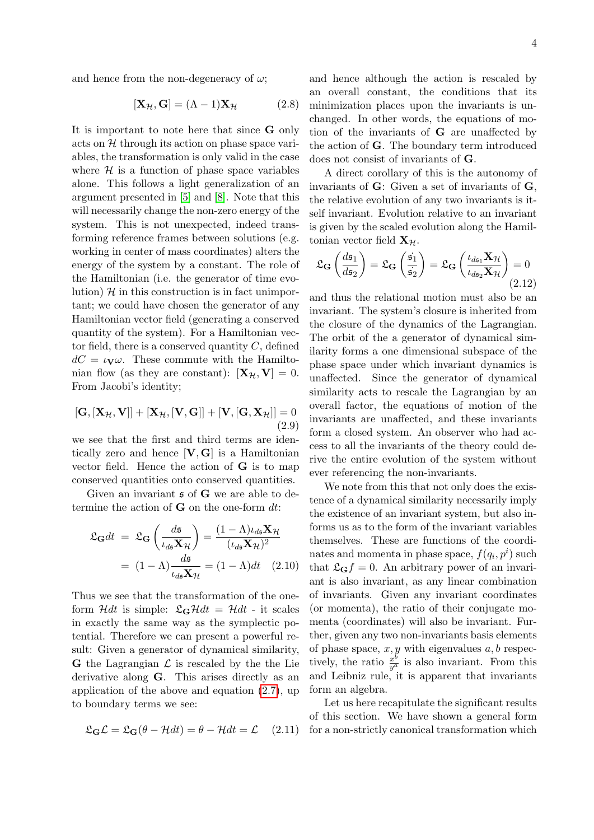and hence from the non-degeneracy of  $\omega$ ;

$$
[\mathbf{X}_{\mathcal{H}}, \mathbf{G}] = (\Lambda - 1)\mathbf{X}_{\mathcal{H}} \tag{2.8}
$$

It is important to note here that since G only acts on  $H$  through its action on phase space variables, the transformation is only valid in the case where  $\mathcal H$  is a function of phase space variables alone. This follows a light generalization of an argument presented in [\[5\]](#page-14-0) and [\[8\]](#page-14-3). Note that this will necessarily change the non-zero energy of the system. This is not unexpected, indeed transforming reference frames between solutions (e.g. working in center of mass coordinates) alters the energy of the system by a constant. The role of the Hamiltonian (i.e. the generator of time evolution)  $H$  in this construction is in fact unimportant; we could have chosen the generator of any Hamiltonian vector field (generating a conserved quantity of the system). For a Hamiltonian vector field, there is a conserved quantity  $C$ , defined  $dC = \iota_{\mathbf{V}} \omega$ . These commute with the Hamiltonian flow (as they are constant):  $[\mathbf{X}_{\mathcal{H}}, \mathbf{V}] = 0$ . From Jacobi's identity;

$$
[\mathbf{G},[\mathbf{X}_{\mathcal{H}},\mathbf{V}]] + [\mathbf{X}_{\mathcal{H}},[\mathbf{V},\mathbf{G}]] + [\mathbf{V},[\mathbf{G},\mathbf{X}_{\mathcal{H}}]] = 0
$$
\n(2.9)

we see that the first and third terms are identically zero and hence  $[V, G]$  is a Hamiltonian vector field. Hence the action of G is to map conserved quantities onto conserved quantities.

Given an invariant  $\mathfrak s$  of  $G$  we are able to determine the action of  $\bf{G}$  on the one-form  $dt$ :

$$
\mathcal{L}_{\mathbf{G}}dt = \mathcal{L}_{\mathbf{G}}\left(\frac{d\mathfrak{s}}{\iota_{d\mathfrak{s}}\mathbf{X}_{\mathcal{H}}}\right) = \frac{(1-\Lambda)\iota_{d\mathfrak{s}}\mathbf{X}_{\mathcal{H}}}{(\iota_{d\mathfrak{s}}\mathbf{X}_{\mathcal{H}})^2}
$$

$$
= (1-\Lambda)\frac{d\mathfrak{s}}{\iota_{d\mathfrak{s}}\mathbf{X}_{\mathcal{H}}} = (1-\Lambda)dt \quad (2.10)
$$

Thus we see that the transformation of the oneform  $\mathcal{H}dt$  is simple:  $\mathfrak{L}_G\mathcal{H}dt = \mathcal{H}dt$  - it scales in exactly the same way as the symplectic potential. Therefore we can present a powerful result: Given a generator of dynamical similarity, G the Lagrangian  $\mathcal L$  is rescaled by the the Lie derivative along G. This arises directly as an application of the above and equation [\(2.7\)](#page-2-0), up to boundary terms we see:

$$
\mathfrak{L}_{\mathbf{G}} \mathcal{L} = \mathfrak{L}_{\mathbf{G}} (\theta - \mathcal{H} dt) = \theta - \mathcal{H} dt = \mathcal{L} \quad (2.11)
$$

and hence although the action is rescaled by an overall constant, the conditions that its minimization places upon the invariants is unchanged. In other words, the equations of motion of the invariants of G are unaffected by the action of G. The boundary term introduced does not consist of invariants of G.

A direct corollary of this is the autonomy of invariants of G: Given a set of invariants of G, the relative evolution of any two invariants is itself invariant. Evolution relative to an invariant is given by the scaled evolution along the Hamiltonian vector field  $\mathbf{X}_{\mathcal{H}}$ .

$$
\mathfrak{L}_{\mathbf{G}}\left(\frac{d\mathfrak{s}_1}{d\mathfrak{s}_2}\right) = \mathfrak{L}_{\mathbf{G}}\left(\frac{\dot{\mathfrak{s}_1}}{\dot{\mathfrak{s}_2}}\right) = \mathfrak{L}_{\mathbf{G}}\left(\frac{\iota_{d\mathfrak{s}_1}\mathbf{X}_{\mathcal{H}}}{\iota_{d\mathfrak{s}_2}\mathbf{X}_{\mathcal{H}}}\right) = 0
$$
\n(2.12)

and thus the relational motion must also be an invariant. The system's closure is inherited from the closure of the dynamics of the Lagrangian. The orbit of the a generator of dynamical similarity forms a one dimensional subspace of the phase space under which invariant dynamics is unaffected. Since the generator of dynamical similarity acts to rescale the Lagrangian by an overall factor, the equations of motion of the invariants are unaffected, and these invariants form a closed system. An observer who had access to all the invariants of the theory could derive the entire evolution of the system without ever referencing the non-invariants.

We note from this that not only does the existence of a dynamical similarity necessarily imply the existence of an invariant system, but also informs us as to the form of the invariant variables themselves. These are functions of the coordinates and momenta in phase space,  $f(q_i, p^i)$  such that  $\mathfrak{L}_{\mathbf{G}}f = 0$ . An arbitrary power of an invariant is also invariant, as any linear combination of invariants. Given any invariant coordinates (or momenta), the ratio of their conjugate momenta (coordinates) will also be invariant. Further, given any two non-invariants basis elements of phase space,  $x, y$  with eigenvalues  $a, b$  respectively, the ratio  $\frac{x^b}{u^a}$  $\frac{x^{\circ}}{y^{\alpha}}$  is also invariant. From this and Leibniz rule, it is apparent that invariants form an algebra.

Let us here recapitulate the significant results of this section. We have shown a general form for a non-strictly canonical transformation which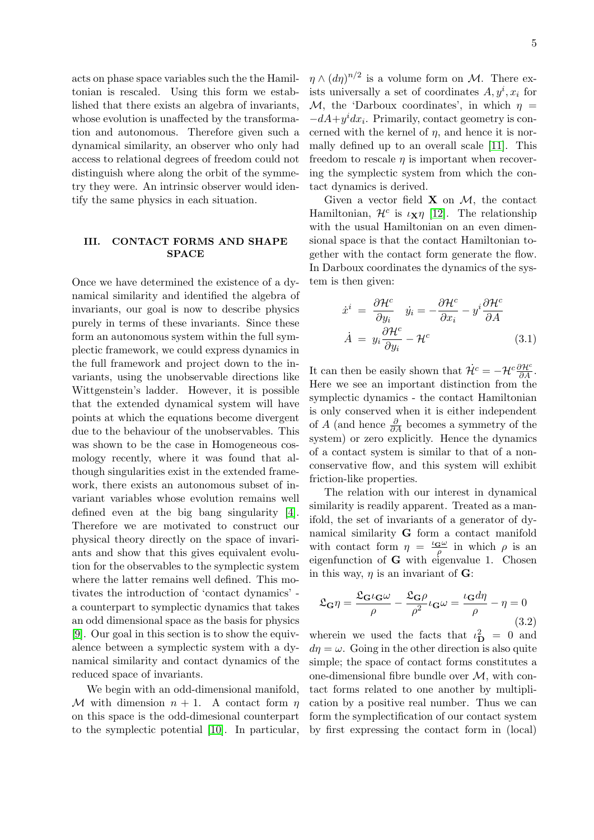acts on phase space variables such the the Hamiltonian is rescaled. Using this form we established that there exists an algebra of invariants, whose evolution is unaffected by the transformation and autonomous. Therefore given such a dynamical similarity, an observer who only had access to relational degrees of freedom could not distinguish where along the orbit of the symmetry they were. An intrinsic observer would identify the same physics in each situation.

## <span id="page-4-0"></span>III. CONTACT FORMS AND SHAPE SPACE

Once we have determined the existence of a dynamical similarity and identified the algebra of invariants, our goal is now to describe physics purely in terms of these invariants. Since these form an autonomous system within the full symplectic framework, we could express dynamics in the full framework and project down to the invariants, using the unobservable directions like Wittgenstein's ladder. However, it is possible that the extended dynamical system will have points at which the equations become divergent due to the behaviour of the unobservables. This was shown to be the case in Homogeneous cosmology recently, where it was found that although singularities exist in the extended framework, there exists an autonomous subset of invariant variables whose evolution remains well defined even at the big bang singularity [\[4\]](#page-13-3). Therefore we are motivated to construct our physical theory directly on the space of invariants and show that this gives equivalent evolution for the observables to the symplectic system where the latter remains well defined. This motivates the introduction of 'contact dynamics' a counterpart to symplectic dynamics that takes an odd dimensional space as the basis for physics [\[9\]](#page-14-4). Our goal in this section is to show the equivalence between a symplectic system with a dynamical similarity and contact dynamics of the reduced space of invariants.

We begin with an odd-dimensional manifold, M with dimension  $n + 1$ . A contact form  $\eta$ on this space is the odd-dimesional counterpart to the symplectic potential [\[10\]](#page-14-5). In particular,

 $\eta \wedge (d\eta)^{n/2}$  is a volume form on M. There exists universally a set of coordinates  $A, y^i, x_i$  for M, the 'Darboux coordinates', in which  $\eta =$  $-dA+y^i dx_i$ . Primarily, contact geometry is concerned with the kernel of  $\eta$ , and hence it is normally defined up to an overall scale [\[11\]](#page-14-6). This freedom to rescale  $\eta$  is important when recovering the symplectic system from which the contact dynamics is derived.

Given a vector field  $X$  on  $M$ , the contact Hamiltonian,  $\mathcal{H}^c$  is  $\iota_{\mathbf{X}}\eta$  [\[12\]](#page-14-7). The relationship with the usual Hamiltonian on an even dimensional space is that the contact Hamiltonian together with the contact form generate the flow. In Darboux coordinates the dynamics of the system is then given:

$$
\dot{x}^i = \frac{\partial \mathcal{H}^c}{\partial y_i} \quad \dot{y}_i = -\frac{\partial \mathcal{H}^c}{\partial x_i} - y^i \frac{\partial \mathcal{H}^c}{\partial A}
$$
\n
$$
\dot{A} = y_i \frac{\partial \mathcal{H}^c}{\partial y_i} - \mathcal{H}^c
$$
\n(3.1)

It can then be easily shown that  $\dot{\mathcal{H}}^c = -\mathcal{H}^c \frac{\partial \mathcal{H}^c}{\partial A}$ . Here we see an important distinction from the symplectic dynamics - the contact Hamiltonian is only conserved when it is either independent of A (and hence  $\frac{\partial}{\partial A}$  becomes a symmetry of the system) or zero explicitly. Hence the dynamics of a contact system is similar to that of a nonconservative flow, and this system will exhibit friction-like properties.

The relation with our interest in dynamical similarity is readily apparent. Treated as a manifold, the set of invariants of a generator of dynamical similarity G form a contact manifold with contact form  $\eta = \frac{\iota_{\mathbf{G}}\omega}{\rho}$  in which  $\rho$  is an eigenfunction of G with eigenvalue 1. Chosen in this way,  $\eta$  is an invariant of G:

$$
\mathfrak{L}_{\mathbf{G}}\eta = \frac{\mathfrak{L}_{\mathbf{G}}\iota_{\mathbf{G}}\omega}{\rho} - \frac{\mathfrak{L}_{\mathbf{G}}\rho}{\rho^2}\iota_{\mathbf{G}}\omega = \frac{\iota_{\mathbf{G}}d\eta}{\rho} - \eta = 0
$$
\n(3.2)

wherein we used the facts that  $\iota_{\mathbf{D}}^2 = 0$  and  $d\eta = \omega$ . Going in the other direction is also quite simple; the space of contact forms constitutes a one-dimensional fibre bundle over  $M$ , with contact forms related to one another by multiplication by a positive real number. Thus we can form the symplectification of our contact system by first expressing the contact form in (local)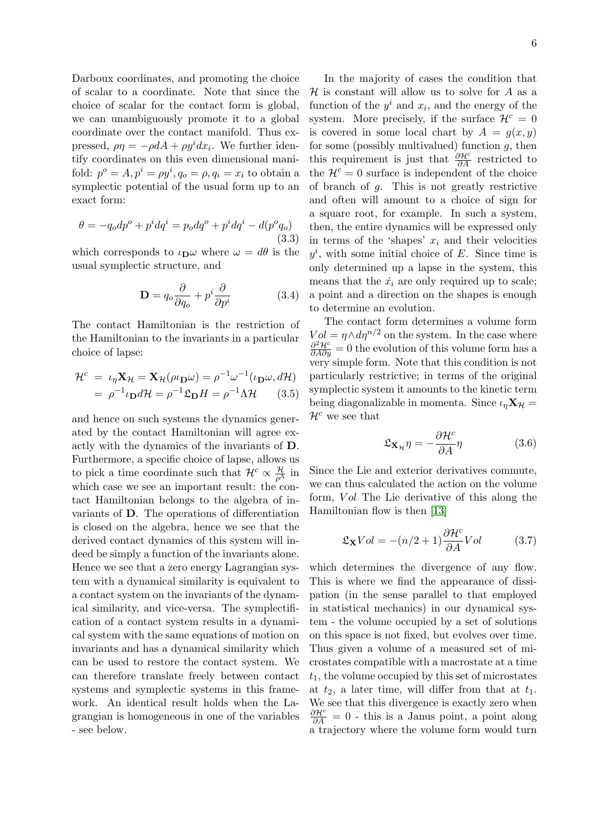Darboux coordinates, and promoting the choice of scalar to a coordinate. Note that since the choice of scalar for the contact form is global, we can unambiguously promote it to a global coordinate over the contact manifold. Thus expressed,  $\rho \eta = -\rho dA + \rho y^i dx_i$ . We further identify coordinates on this even dimensional manifold:  $p^o = A$ ,  $p^i = \rho y^i$ ,  $q_o = \rho$ ,  $q_i = x_i$  to obtain a symplectic potential of the usual form up to an exact form:

$$
\theta = -q_0 dp^o + p^i dq^i = p_0 dq^o + p^i dq^i - d(p^o q_o)
$$
\n(3.3)

which corresponds to  $\iota_{\mathbf{D}}\omega$  where  $\omega = d\theta$  is the usual symplectic structure, and

$$
\mathbf{D} = q_o \frac{\partial}{\partial q_o} + p^i \frac{\partial}{\partial p^i}
$$
 (3.4)

The contact Hamiltonian is the restriction of the Hamiltonian to the invariants in a particular choice of lapse:

$$
\mathcal{H}^c = \iota_{\eta} \mathbf{X}_{\mathcal{H}} = \mathbf{X}_{\mathcal{H}} (\rho \iota_{\mathbf{D}} \omega) = \rho^{-1} \omega^{-1} (\iota_{\mathbf{D}} \omega, d\mathcal{H})
$$

$$
= \rho^{-1} \iota_{\mathbf{D}} d\mathcal{H} = \rho^{-1} \mathfrak{L}_{\mathbf{D}} H = \rho^{-1} \Lambda \mathcal{H} \qquad (3.5)
$$

and hence on such systems the dynamics generated by the contact Hamiltonian will agree exactly with the dynamics of the invariants of D. Furthermore, a specific choice of lapse, allows us to pick a time coordinate such that  $\mathcal{H}^c \propto \frac{\mathcal{H}}{\rho^{\Lambda}}$  in which case we see an important result: the contact Hamiltonian belongs to the algebra of invariants of D. The operations of differentiation is closed on the algebra, hence we see that the derived contact dynamics of this system will indeed be simply a function of the invariants alone. Hence we see that a zero energy Lagrangian system with a dynamical similarity is equivalent to a contact system on the invariants of the dynamical similarity, and vice-versa. The symplectification of a contact system results in a dynamical system with the same equations of motion on invariants and has a dynamical similarity which can be used to restore the contact system. We can therefore translate freely between contact systems and symplectic systems in this framework. An identical result holds when the Lagrangian is homogeneous in one of the variables - see below.

In the majority of cases the condition that  $\mathcal H$  is constant will allow us to solve for  $A$  as a function of the  $y^i$  and  $x_i$ , and the energy of the system. More precisely, if the surface  $\mathcal{H}^c = 0$ is covered in some local chart by  $A = g(x, y)$ for some (possibly multivalued) function  $g$ , then this requirement is just that  $\frac{\partial \mathcal{H}^c}{\partial A}$  restricted to the  $\mathcal{H}^c = 0$  surface is independent of the choice of branch of g. This is not greatly restrictive and often will amount to a choice of sign for a square root, for example. In such a system, then, the entire dynamics will be expressed only in terms of the 'shapes'  $x_i$  and their velocities  $y^i$ , with some initial choice of E. Since time is only determined up a lapse in the system, this means that the  $\dot{x}_i$  are only required up to scale; a point and a direction on the shapes is enough to determine an evolution.

The contact form determines a volume form  $Vol = \eta \wedge d\eta^{n/2}$  on the system. In the case where  $\frac{\partial^2 \mathcal{H}^c}{\partial \mathcal{A} \partial y} = 0$  the evolution of this volume form has a very simple form. Note that this condition is not particularly restrictive; in terms of the original symplectic system it amounts to the kinetic term being diagonalizable in momenta. Since  $\iota_{\eta} \mathbf{X}_{\mathcal{H}} =$  $\mathcal{H}^c$  we see that

<span id="page-5-0"></span>
$$
\mathfrak{L}_{\mathbf{X}_{\mathcal{H}}}\eta = -\frac{\partial \mathcal{H}^c}{\partial A}\eta \tag{3.6}
$$

Since the Lie and exterior derivatives commute, we can thus calculated the action on the volume form, Vol The Lie derivative of this along the Hamiltonian flow is then [\[13\]](#page-14-8)

$$
\mathfrak{L}_{\mathbf{X}} Vol = -(n/2+1) \frac{\partial \mathcal{H}^c}{\partial A} Vol \qquad (3.7)
$$

which determines the divergence of any flow. This is where we find the appearance of dissipation (in the sense parallel to that employed in statistical mechanics) in our dynamical system - the volume occupied by a set of solutions on this space is not fixed, but evolves over time. Thus given a volume of a measured set of microstates compatible with a macrostate at a time  $t_1$ , the volume occupied by this set of microstates at  $t_2$ , a later time, will differ from that at  $t_1$ . We see that this divergence is exactly zero when  $\frac{\partial \mathcal{H}^c}{\partial A} = 0$  - this is a Janus point, a point along a trajectory where the volume form would turn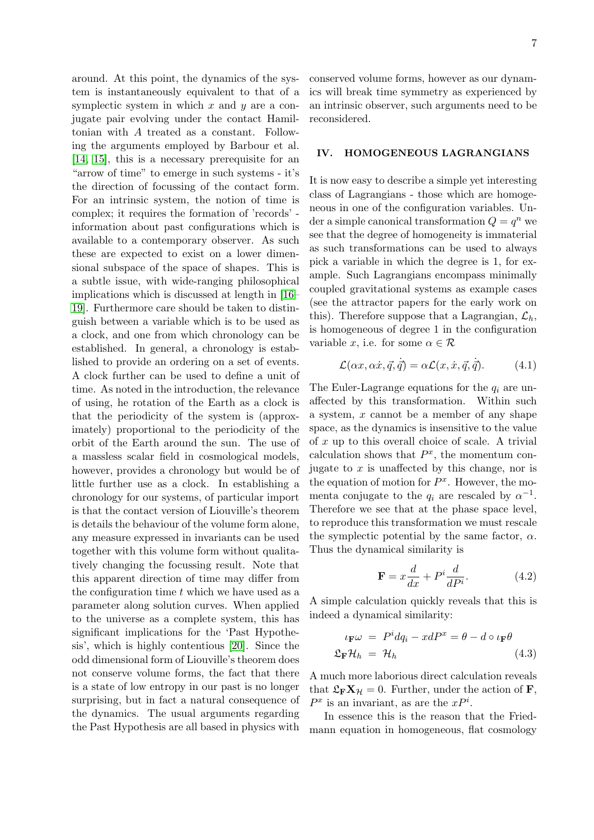around. At this point, the dynamics of the system is instantaneously equivalent to that of a symplectic system in which  $x$  and  $y$  are a conjugate pair evolving under the contact Hamiltonian with A treated as a constant. Following the arguments employed by Barbour et al. [\[14,](#page-14-9) [15\]](#page-14-10), this is a necessary prerequisite for an "arrow of time" to emerge in such systems - it's the direction of focussing of the contact form. For an intrinsic system, the notion of time is complex; it requires the formation of 'records' information about past configurations which is available to a contemporary observer. As such these are expected to exist on a lower dimensional subspace of the space of shapes. This is a subtle issue, with wide-ranging philosophical implications which is discussed at length in [\[16–](#page-14-11) [19\]](#page-14-12). Furthermore care should be taken to distinguish between a variable which is to be used as a clock, and one from which chronology can be established. In general, a chronology is established to provide an ordering on a set of events. A clock further can be used to define a unit of time. As noted in the introduction, the relevance of using, he rotation of the Earth as a clock is that the periodicity of the system is (approximately) proportional to the periodicity of the orbit of the Earth around the sun. The use of a massless scalar field in cosmological models, however, provides a chronology but would be of little further use as a clock. In establishing a chronology for our systems, of particular import is that the contact version of Liouville's theorem is details the behaviour of the volume form alone, any measure expressed in invariants can be used together with this volume form without qualitatively changing the focussing result. Note that this apparent direction of time may differ from the configuration time  $t$  which we have used as a parameter along solution curves. When applied to the universe as a complete system, this has significant implications for the 'Past Hypothesis', which is highly contentious [\[20\]](#page-14-13). Since the odd dimensional form of Liouville's theorem does not conserve volume forms, the fact that there is a state of low entropy in our past is no longer surprising, but in fact a natural consequence of the dynamics. The usual arguments regarding the Past Hypothesis are all based in physics with conserved volume forms, however as our dynamics will break time symmetry as experienced by an intrinsic observer, such arguments need to be reconsidered.

#### <span id="page-6-0"></span>IV. HOMOGENEOUS LAGRANGIANS

It is now easy to describe a simple yet interesting class of Lagrangians - those which are homogeneous in one of the configuration variables. Under a simple canonical transformation  $Q = q^n$  we see that the degree of homogeneity is immaterial as such transformations can be used to always pick a variable in which the degree is 1, for example. Such Lagrangians encompass minimally coupled gravitational systems as example cases (see the attractor papers for the early work on this). Therefore suppose that a Lagrangian,  $\mathcal{L}_h$ , is homogeneous of degree 1 in the configuration variable x, i.e. for some  $\alpha \in \mathcal{R}$ 

$$
\mathcal{L}(\alpha x, \alpha \dot{x}, \vec{q}, \dot{\vec{q}}) = \alpha \mathcal{L}(x, \dot{x}, \vec{q}, \dot{\vec{q}}). \tag{4.1}
$$

The Euler-Lagrange equations for the  $q_i$  are unaffected by this transformation. Within such a system, x cannot be a member of any shape space, as the dynamics is insensitive to the value of  $x$  up to this overall choice of scale. A trivial calculation shows that  $P^x$ , the momentum conjugate to  $x$  is unaffected by this change, nor is the equation of motion for  $P^x$ . However, the momenta conjugate to the  $q_i$  are rescaled by  $\alpha^{-1}$ . Therefore we see that at the phase space level, to reproduce this transformation we must rescale the symplectic potential by the same factor,  $\alpha$ . Thus the dynamical similarity is

$$
\mathbf{F} = x\frac{d}{dx} + P^i \frac{d}{dP^i}.\tag{4.2}
$$

A simple calculation quickly reveals that this is indeed a dynamical similarity:

$$
\iota_{\mathbf{F}}\omega = P^i dq_i - x dP^x = \theta - d \circ \iota_{\mathbf{F}}\theta
$$
  

$$
\mathfrak{L}_{\mathbf{F}}\mathcal{H}_h = \mathcal{H}_h \tag{4.3}
$$

A much more laborious direct calculation reveals that  $\mathfrak{L}_{\mathbf{F}}\mathbf{X}_{\mathcal{H}}=0$ . Further, under the action of **F**,  $P^x$  is an invariant, as are the  $xP^i$ .

In essence this is the reason that the Friedmann equation in homogeneous, flat cosmology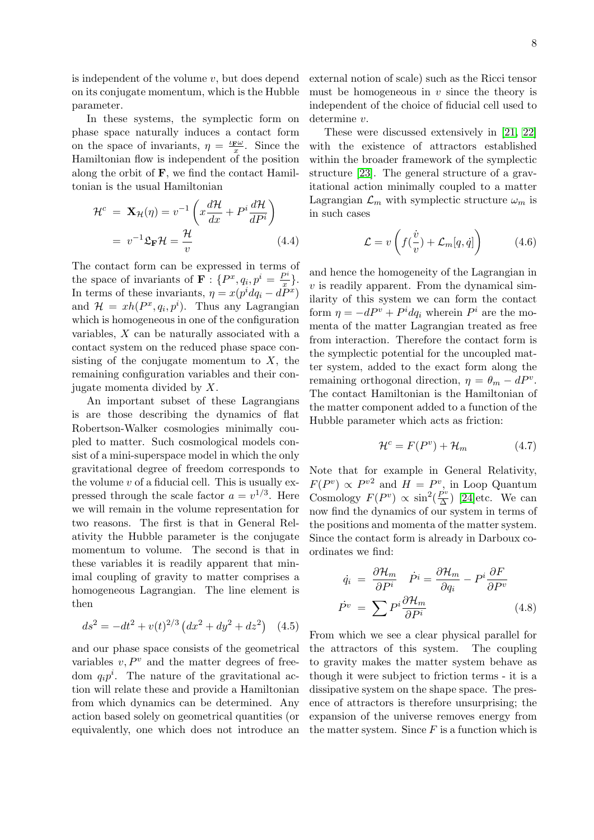is independent of the volume  $v$ , but does depend on its conjugate momentum, which is the Hubble parameter.

In these systems, the symplectic form on phase space naturally induces a contact form on the space of invariants,  $\eta = \frac{\iota_{\mathbf{F}} \omega}{x}$ . Since the Hamiltonian flow is independent of the position along the orbit of **, we find the contact Hamil**tonian is the usual Hamiltonian

$$
\mathcal{H}^c = \mathbf{X}_{\mathcal{H}}(\eta) = v^{-1} \left( x \frac{d\mathcal{H}}{dx} + P^i \frac{d\mathcal{H}}{dP^i} \right)
$$

$$
= v^{-1} \mathfrak{L}_{\mathbf{F}} \mathcal{H} = \frac{\mathcal{H}}{v} \tag{4.4}
$$

The contact form can be expressed in terms of the space of invariants of **F**:  $\{P^x, q_i, p^i = \frac{P^i}{x}\}$  $\frac{P^i}{x}$ . In terms of these invariants,  $\eta = x(p^i dq_i - dP^x)$ and  $\mathcal{H} = xh(P^x, q_i, p^i)$ . Thus any Lagrangian which is homogeneous in one of the configuration variables, X can be naturally associated with a contact system on the reduced phase space consisting of the conjugate momentum to  $X$ , the remaining configuration variables and their conjugate momenta divided by X.

An important subset of these Lagrangians is are those describing the dynamics of flat Robertson-Walker cosmologies minimally coupled to matter. Such cosmological models consist of a mini-superspace model in which the only gravitational degree of freedom corresponds to the volume  $v$  of a fiducial cell. This is usually expressed through the scale factor  $a = v^{1/3}$ . Here we will remain in the volume representation for two reasons. The first is that in General Relativity the Hubble parameter is the conjugate momentum to volume. The second is that in these variables it is readily apparent that minimal coupling of gravity to matter comprises a homogeneous Lagrangian. The line element is then

$$
ds^{2} = -dt^{2} + v(t)^{2/3} (dx^{2} + dy^{2} + dz^{2})
$$
 (4.5)

and our phase space consists of the geometrical variables  $v, P<sup>v</sup>$  and the matter degrees of freedom  $q_i p^i$ . The nature of the gravitational action will relate these and provide a Hamiltonian from which dynamics can be determined. Any action based solely on geometrical quantities (or equivalently, one which does not introduce an external notion of scale) such as the Ricci tensor must be homogeneous in  $v$  since the theory is independent of the choice of fiducial cell used to determine v.

These were discussed extensively in [\[21,](#page-14-14) [22\]](#page-14-15) with the existence of attractors established within the broader framework of the symplectic structure [\[23\]](#page-14-16). The general structure of a gravitational action minimally coupled to a matter Lagrangian  $\mathcal{L}_m$  with symplectic structure  $\omega_m$  is in such cases

$$
\mathcal{L} = v\left(f(\frac{\dot{v}}{v}) + \mathcal{L}_m[q, \dot{q}]\right) \tag{4.6}
$$

and hence the homogeneity of the Lagrangian in  $v$  is readily apparent. From the dynamical similarity of this system we can form the contact form  $\eta = -dP^v + P^i dq_i$  wherein  $P^i$  are the momenta of the matter Lagrangian treated as free from interaction. Therefore the contact form is the symplectic potential for the uncoupled matter system, added to the exact form along the remaining orthogonal direction,  $\eta = \theta_m - dP^v$ . The contact Hamiltonian is the Hamiltonian of the matter component added to a function of the Hubble parameter which acts as friction:

$$
\mathcal{H}^c = F(P^v) + \mathcal{H}_m \tag{4.7}
$$

Note that for example in General Relativity,  $F(P^v) \propto P^{v2}$  and  $H = P^v$ , in Loop Quantum Cosmology  $F(P^v) \propto \sin^2(\frac{P^v}{\Delta})$  $\frac{P^v}{\Delta}$ ) [\[24\]](#page-14-17)etc. We can now find the dynamics of our system in terms of the positions and momenta of the matter system. Since the contact form is already in Darboux coordinates we find:

$$
\dot{q}_i = \frac{\partial \mathcal{H}_m}{\partial P^i} \quad \dot{P}^i = \frac{\partial \mathcal{H}_m}{\partial q_i} - P^i \frac{\partial F}{\partial P^v}
$$
\n
$$
\dot{P}^v = \sum P^i \frac{\partial \mathcal{H}_m}{\partial P^i} \tag{4.8}
$$

From which we see a clear physical parallel for the attractors of this system. The coupling to gravity makes the matter system behave as though it were subject to friction terms - it is a dissipative system on the shape space. The presence of attractors is therefore unsurprising; the expansion of the universe removes energy from the matter system. Since  $F$  is a function which is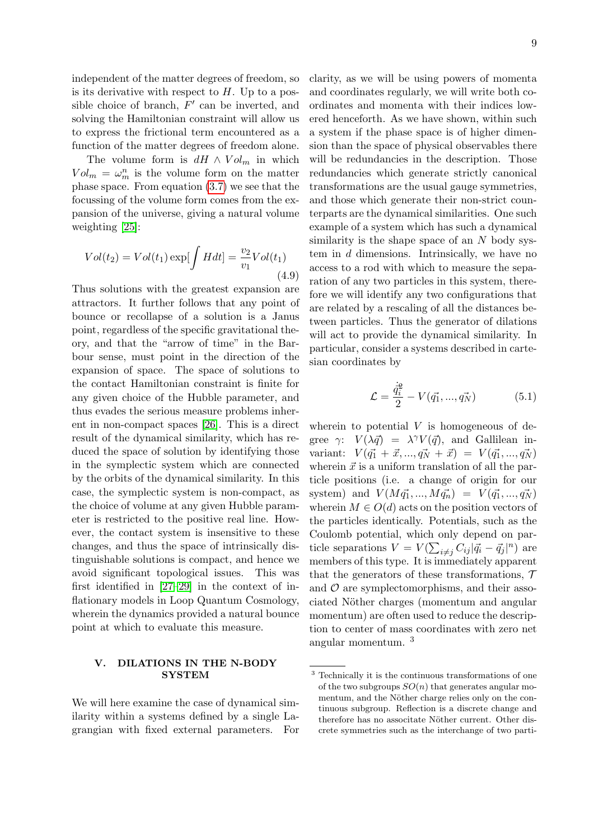independent of the matter degrees of freedom, so is its derivative with respect to  $H$ . Up to a possible choice of branch,  $F'$  can be inverted, and solving the Hamiltonian constraint will allow us to express the frictional term encountered as a function of the matter degrees of freedom alone.

The volume form is  $dH \wedge Vol_m$  in which  $Vol_m = \omega_m^n$  is the volume form on the matter phase space. From equation [\(3.7\)](#page-5-0) we see that the focussing of the volume form comes from the expansion of the universe, giving a natural volume weighting [\[25\]](#page-14-18):

$$
Vol(t_2) = Vol(t_1) \exp[\int H dt] = \frac{v_2}{v_1} Vol(t_1)
$$
\n(4.9)

Thus solutions with the greatest expansion are attractors. It further follows that any point of bounce or recollapse of a solution is a Janus point, regardless of the specific gravitational theory, and that the "arrow of time" in the Barbour sense, must point in the direction of the expansion of space. The space of solutions to the contact Hamiltonian constraint is finite for any given choice of the Hubble parameter, and thus evades the serious measure problems inherent in non-compact spaces [\[26\]](#page-14-19). This is a direct result of the dynamical similarity, which has reduced the space of solution by identifying those in the symplectic system which are connected by the orbits of the dynamical similarity. In this case, the symplectic system is non-compact, as the choice of volume at any given Hubble parameter is restricted to the positive real line. However, the contact system is insensitive to these changes, and thus the space of intrinsically distinguishable solutions is compact, and hence we avoid significant topological issues. This was first identified in [\[27–](#page-14-20)[29\]](#page-14-21) in the context of inflationary models in Loop Quantum Cosmology, wherein the dynamics provided a natural bounce point at which to evaluate this measure.

#### <span id="page-8-0"></span>V. DILATIONS IN THE N-BODY **SYSTEM**

We will here examine the case of dynamical similarity within a systems defined by a single Lagrangian with fixed external parameters. For clarity, as we will be using powers of momenta and coordinates regularly, we will write both coordinates and momenta with their indices lowered henceforth. As we have shown, within such a system if the phase space is of higher dimension than the space of physical observables there will be redundancies in the description. Those redundancies which generate strictly canonical transformations are the usual gauge symmetries, and those which generate their non-strict counterparts are the dynamical similarities. One such example of a system which has such a dynamical similarity is the shape space of an  $N$  body system in d dimensions. Intrinsically, we have no access to a rod with which to measure the separation of any two particles in this system, therefore we will identify any two configurations that are related by a rescaling of all the distances between particles. Thus the generator of dilations will act to provide the dynamical similarity. In particular, consider a systems described in cartesian coordinates by

$$
\mathcal{L} = \frac{\dot{\vec{q}}_i^2}{2} - V(\vec{q_1}, ..., \vec{q_N})
$$
 (5.1)

wherein to potential  $V$  is homogeneous of degree  $\gamma$ :  $V(\lambda \vec{q}) = \lambda^{\gamma} V(\vec{q})$ , and Gallilean invariant:  $V(\vec{q_1} + \vec{x}, ..., \vec{q_N} + \vec{x}) = V(\vec{q_1}, ..., \vec{q_N})$ wherein  $\vec{x}$  is a uniform translation of all the particle positions (i.e. a change of origin for our system) and  $V(M\vec{q_1},...,M\vec{q_n}) = V(\vec{q_1},...,\vec{q_N})$ wherein  $M \in O(d)$  acts on the position vectors of the particles identically. Potentials, such as the Coulomb potential, which only depend on particle separations  $V = V(\sum_{i \neq j} C_{ij} | \vec{q_i} - \vec{q_j} |^n)$  are members of this type. It is immediately apparent that the generators of these transformations, T and  $\mathcal O$  are symplectomorphisms, and their associated Nöther charges (momentum and angular momentum) are often used to reduce the description to center of mass coordinates with zero net angular momentum. <sup>3</sup>

<sup>3</sup> Technically it is the continuous transformations of one of the two subgroups  $SO(n)$  that generates angular momentum, and the Nöther charge relies only on the continuous subgroup. Reflection is a discrete change and therefore has no associtate Nöther current. Other discrete symmetries such as the interchange of two parti-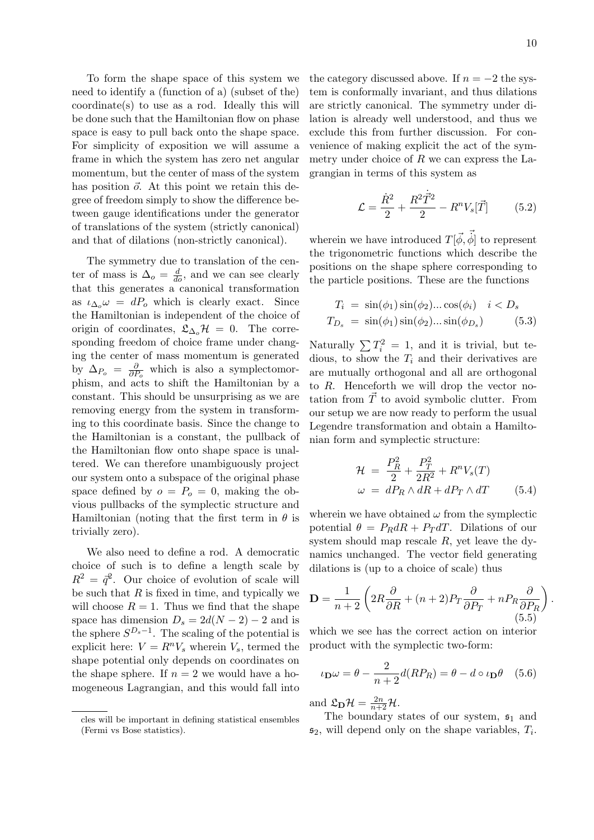To form the shape space of this system we need to identify a (function of a) (subset of the) coordinate(s) to use as a rod. Ideally this will be done such that the Hamiltonian flow on phase space is easy to pull back onto the shape space. For simplicity of exposition we will assume a frame in which the system has zero net angular momentum, but the center of mass of the system has position  $\vec{o}$ . At this point we retain this degree of freedom simply to show the difference between gauge identifications under the generator of translations of the system (strictly canonical) and that of dilations (non-strictly canonical).

The symmetry due to translation of the center of mass is  $\Delta_o = \frac{d}{d_o}$ , and we can see clearly that this generates a canonical transformation as  $\iota_{\Delta_o}\omega = dP_o$  which is clearly exact. Since the Hamiltonian is independent of the choice of origin of coordinates,  $\mathfrak{L}_{\Delta_o}\mathcal{H} = 0$ . The corresponding freedom of choice frame under changing the center of mass momentum is generated by  $\Delta_{P_o} = \frac{\delta}{\partial P}$  $\frac{\partial}{\partial P_o}$  which is also a symplectomorphism, and acts to shift the Hamiltonian by a constant. This should be unsurprising as we are removing energy from the system in transforming to this coordinate basis. Since the change to the Hamiltonian is a constant, the pullback of the Hamiltonian flow onto shape space is unaltered. We can therefore unambiguously project our system onto a subspace of the original phase space defined by  $o = P_o = 0$ , making the obvious pullbacks of the symplectic structure and Hamiltonian (noting that the first term in  $\theta$  is trivially zero).

We also need to define a rod. A democratic choice of such is to define a length scale by  $R^2 = \vec{q}^2$ . Our choice of evolution of scale will be such that  $R$  is fixed in time, and typically we will choose  $R = 1$ . Thus we find that the shape space has dimension  $D_s = 2d(N-2) - 2$  and is the sphere  $S^{D_s-1}$ . The scaling of the potential is explicit here:  $V = R^n V_s$  wherein  $V_s$ , termed the shape potential only depends on coordinates on the shape sphere. If  $n = 2$  we would have a homogeneous Lagrangian, and this would fall into the category discussed above. If  $n = -2$  the system is conformally invariant, and thus dilations are strictly canonical. The symmetry under dilation is already well understood, and thus we exclude this from further discussion. For convenience of making explicit the act of the symmetry under choice of  $R$  we can express the Lagrangian in terms of this system as

$$
\mathcal{L} = \frac{\dot{R}^2}{2} + \frac{R^2 \dot{\vec{T}}^2}{2} - R^n V_s[\vec{T}] \tag{5.2}
$$

wherein we have introduced  $T[\vec{\phi}, \dot{\vec{\phi}}]$  to represent the trigonometric functions which describe the positions on the shape sphere corresponding to the particle positions. These are the functions

$$
T_i = \sin(\phi_1)\sin(\phi_2)\dots\cos(\phi_i) \quad i < D_s
$$
  
\n
$$
T_{D_s} = \sin(\phi_1)\sin(\phi_2)\dots\sin(\phi_{D_s}) \qquad (5.3)
$$

Naturally  $\sum T_i^2 = 1$ , and it is trivial, but tedious, to show the  $T_i$  and their derivatives are are mutually orthogonal and all are orthogonal to R. Henceforth we will drop the vector notation from  $\vec{T}$  to avoid symbolic clutter. From our setup we are now ready to perform the usual Legendre transformation and obtain a Hamiltonian form and symplectic structure:

$$
\mathcal{H} = \frac{P_R^2}{2} + \frac{P_T^2}{2R^2} + R^n V_s(T)
$$
  

$$
\omega = dP_R \wedge dR + dP_T \wedge dT \qquad (5.4)
$$

wherein we have obtained  $\omega$  from the symplectic potential  $\theta = P_R dR + P_T dT$ . Dilations of our system should map rescale  $R$ , yet leave the dynamics unchanged. The vector field generating dilations is (up to a choice of scale) thus

$$
\mathbf{D} = \frac{1}{n+2} \left( 2R \frac{\partial}{\partial R} + (n+2)P_T \frac{\partial}{\partial P_T} + nP_R \frac{\partial}{\partial P_R} \right).
$$
\n(5.5)

which we see has the correct action on interior product with the symplectic two-form:

$$
\iota_{\mathbf{D}}\omega = \theta - \frac{2}{n+2}d(RP_R) = \theta - d \circ \iota_{\mathbf{D}}\theta \quad (5.6)
$$

and  $\mathfrak{L}_{\mathbf{D}}\mathcal{H}=\frac{2n}{n+2}\mathcal{H}$ .

The boundary states of our system,  $\mathfrak{s}_1$  and  $\mathfrak{s}_2$ , will depend only on the shape variables,  $T_i$ .

cles will be important in defining statistical ensembles (Fermi vs Bose statistics).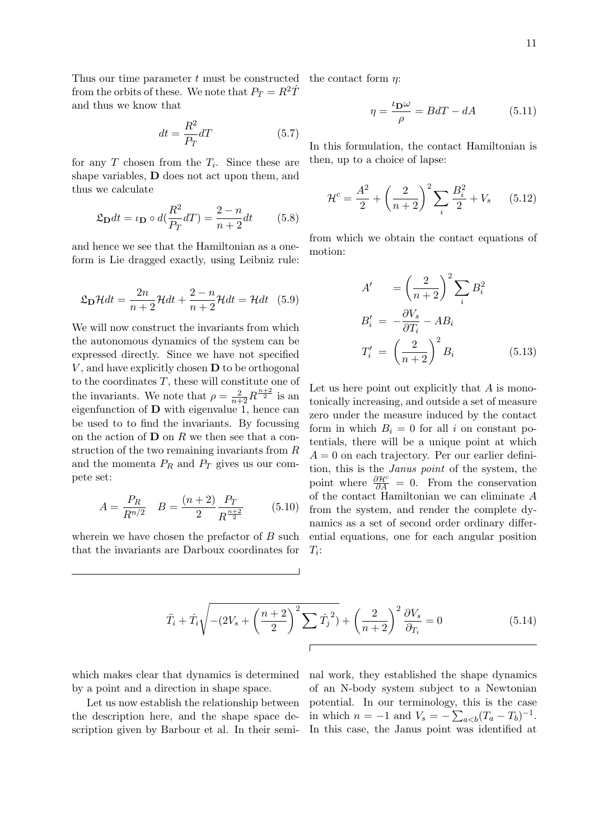Thus our time parameter  $t$  must be constructed the contact form  $\eta$ : from the orbits of these. We note that  $P_T = R^2 T$ and thus we know that

$$
dt = \frac{R^2}{P_T} dT \tag{5.7}
$$

for any  $T$  chosen from the  $T_i$ . Since these are shape variables, D does not act upon them, and thus we calculate

$$
\mathfrak{L}_{\mathbf{D}}dt = \iota_{\mathbf{D}} \circ d(\frac{R^2}{P_T}dT) = \frac{2-n}{n+2}dt \tag{5.8}
$$

and hence we see that the Hamiltonian as a oneform is Lie dragged exactly, using Leibniz rule:

$$
\mathfrak{L}_{\mathbf{D}}\mathcal{H}dt = \frac{2n}{n+2}\mathcal{H}dt + \frac{2-n}{n+2}\mathcal{H}dt = \mathcal{H}dt \quad (5.9)
$$

We will now construct the invariants from which the autonomous dynamics of the system can be expressed directly. Since we have not specified  $V$ , and have explicitly chosen  $D$  to be orthogonal to the coordinates  $T$ , these will constitute one of the invariants. We note that  $\rho = \frac{2}{n+2} R^{\frac{n+2}{2}}$  is an eigenfunction of D with eigenvalue 1, hence can be used to to find the invariants. By focussing on the action of  **on**  $R$  **we then see that a con**struction of the two remaining invariants from R and the momenta  $P_R$  and  $P_T$  gives us our compete set:

$$
A = \frac{P_R}{R^{n/2}} \quad B = \frac{(n+2)}{2} \frac{P_T}{R^{\frac{n+2}{2}}} \tag{5.10}
$$

wherein we have chosen the prefactor of  $B$  such that the invariants are Darboux coordinates for

$$
\eta = \frac{\iota \mathbf{D}^{\omega}}{\rho} = BdT - dA \tag{5.11}
$$

In this formulation, the contact Hamiltonian is then, up to a choice of lapse:

$$
\mathcal{H}^c = \frac{A^2}{2} + \left(\frac{2}{n+2}\right)^2 \sum_i \frac{B_i^2}{2} + V_s \qquad (5.12)
$$

from which we obtain the contact equations of motion:

$$
A' = \left(\frac{2}{n+2}\right)^2 \sum_i B_i^2
$$
  
\n
$$
B'_i = -\frac{\partial V_s}{\partial T_i} - AB_i
$$
  
\n
$$
T'_i = \left(\frac{2}{n+2}\right)^2 B_i
$$
 (5.13)

Let us here point out explicitly that  $A$  is monotonically increasing, and outside a set of measure zero under the measure induced by the contact form in which  $B_i = 0$  for all i on constant potentials, there will be a unique point at which  $A = 0$  on each trajectory. Per our earlier definition, this is the Janus point of the system, the point where  $\frac{\partial \mathcal{H}^c}{\partial A} = 0$ . From the conservation of the contact Hamiltonian we can eliminate A from the system, and render the complete dynamics as a set of second order ordinary differential equations, one for each angular position  $T_i$ :

$$
\ddot{T}_i + \dot{T}_i \sqrt{-\left(2V_s + \left(\frac{n+2}{2}\right)^2 \sum \dot{T}_j^2\right)} + \left(\frac{2}{n+2}\right)^2 \frac{\partial V_s}{\partial T_i} = 0 \tag{5.14}
$$

which makes clear that dynamics is determined by a point and a direction in shape space.

Let us now establish the relationship between the description here, and the shape space description given by Barbour et al. In their seminal work, they established the shape dynamics of an N-body system subject to a Newtonian potential. In our terminology, this is the case in which  $n = -1$  and  $V_s = -\sum_{a.$ In this case, the Janus point was identified at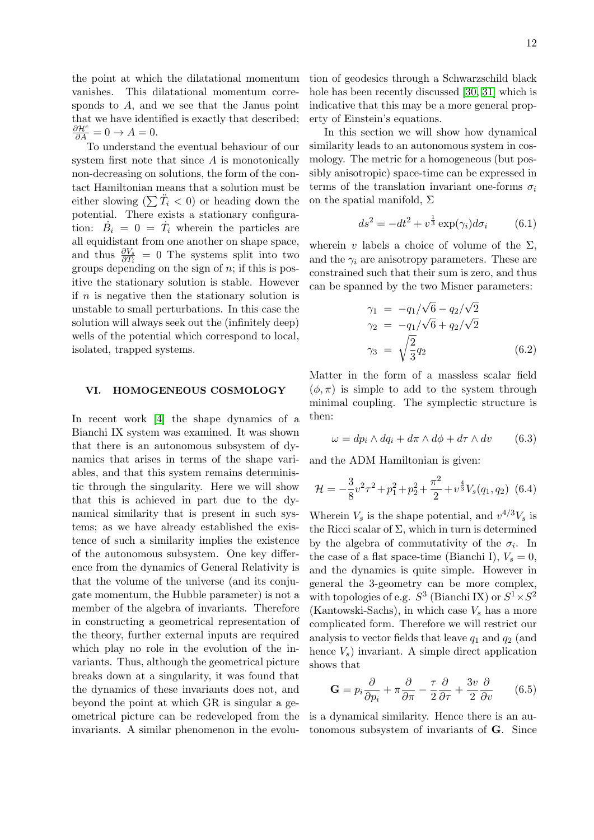the point at which the dilatational momentum vanishes. This dilatational momentum corresponds to A, and we see that the Janus point that we have identified is exactly that described;  $\frac{\partial \mathcal{H}^c}{\partial A} = 0 \rightarrow A = 0.$ 

To understand the eventual behaviour of our system first note that since  $A$  is monotonically non-decreasing on solutions, the form of the contact Hamiltonian means that a solution must be either slowing  $(\sum \ddot{T}_i < 0)$  or heading down the potential. There exists a stationary configuration:  $\dot{B}_i = 0 = \dot{T}_i$  wherein the particles are all equidistant from one another on shape space, and thus  $\frac{\partial V_s}{\partial T_i} = 0$  The systems split into two groups depending on the sign of  $n$ ; if this is positive the stationary solution is stable. However if  $n$  is negative then the stationary solution is unstable to small perturbations. In this case the solution will always seek out the (infinitely deep) wells of the potential which correspond to local, isolated, trapped systems.

#### <span id="page-11-0"></span>VI. HOMOGENEOUS COSMOLOGY

In recent work [\[4\]](#page-13-3) the shape dynamics of a Bianchi IX system was examined. It was shown that there is an autonomous subsystem of dynamics that arises in terms of the shape variables, and that this system remains deterministic through the singularity. Here we will show that this is achieved in part due to the dynamical similarity that is present in such systems; as we have already established the existence of such a similarity implies the existence of the autonomous subsystem. One key difference from the dynamics of General Relativity is that the volume of the universe (and its conjugate momentum, the Hubble parameter) is not a member of the algebra of invariants. Therefore in constructing a geometrical representation of the theory, further external inputs are required which play no role in the evolution of the invariants. Thus, although the geometrical picture breaks down at a singularity, it was found that the dynamics of these invariants does not, and beyond the point at which GR is singular a geometrical picture can be redeveloped from the invariants. A similar phenomenon in the evolution of geodesics through a Schwarzschild black hole has been recently discussed [\[30,](#page-14-22) [31\]](#page-14-23) which is indicative that this may be a more general property of Einstein's equations.

In this section we will show how dynamical similarity leads to an autonomous system in cosmology. The metric for a homogeneous (but possibly anisotropic) space-time can be expressed in terms of the translation invariant one-forms  $\sigma_i$ on the spatial manifold,  $\Sigma$ 

$$
ds^{2} = -dt^{2} + v^{\frac{1}{3}} \exp(\gamma_{i}) d\sigma_{i} \qquad (6.1)
$$

wherein v labels a choice of volume of the  $\Sigma$ , and the  $\gamma_i$  are anisotropy parameters. These are constrained such that their sum is zero, and thus can be spanned by the two Misner parameters:

$$
\gamma_1 = -q_1/\sqrt{6} - q_2/\sqrt{2} \n\gamma_2 = -q_1/\sqrt{6} + q_2/\sqrt{2} \n\gamma_3 = \sqrt{\frac{2}{3}}q_2
$$
\n(6.2)

Matter in the form of a massless scalar field  $(\phi, \pi)$  is simple to add to the system through minimal coupling. The symplectic structure is then:

$$
\omega = dp_i \wedge dq_i + d\pi \wedge d\phi + d\tau \wedge dv \qquad (6.3)
$$

and the ADM Hamiltonian is given:

$$
\mathcal{H} = -\frac{3}{8}v^2\tau^2 + p_1^2 + p_2^2 + \frac{\pi^2}{2} + v^{\frac{4}{3}}V_s(q_1, q_2) \tag{6.4}
$$

Wherein  $V_s$  is the shape potential, and  $v^{4/3}V_s$  is the Ricci scalar of  $\Sigma$ , which in turn is determined by the algebra of commutativity of the  $\sigma_i$ . In the case of a flat space-time (Bianchi I),  $V_s = 0$ , and the dynamics is quite simple. However in general the 3-geometry can be more complex, with topologies of e.g.  $S^3$  (Bianchi IX) or  $S^1 \times S^2$ (Kantowski-Sachs), in which case  $V_s$  has a more complicated form. Therefore we will restrict our analysis to vector fields that leave  $q_1$  and  $q_2$  (and hence  $V_s$ ) invariant. A simple direct application shows that

$$
\mathbf{G} = p_i \frac{\partial}{\partial p_i} + \pi \frac{\partial}{\partial \pi} - \frac{\tau}{2} \frac{\partial}{\partial \tau} + \frac{3v}{2} \frac{\partial}{\partial v} \qquad (6.5)
$$

is a dynamical similarity. Hence there is an autonomous subsystem of invariants of G. Since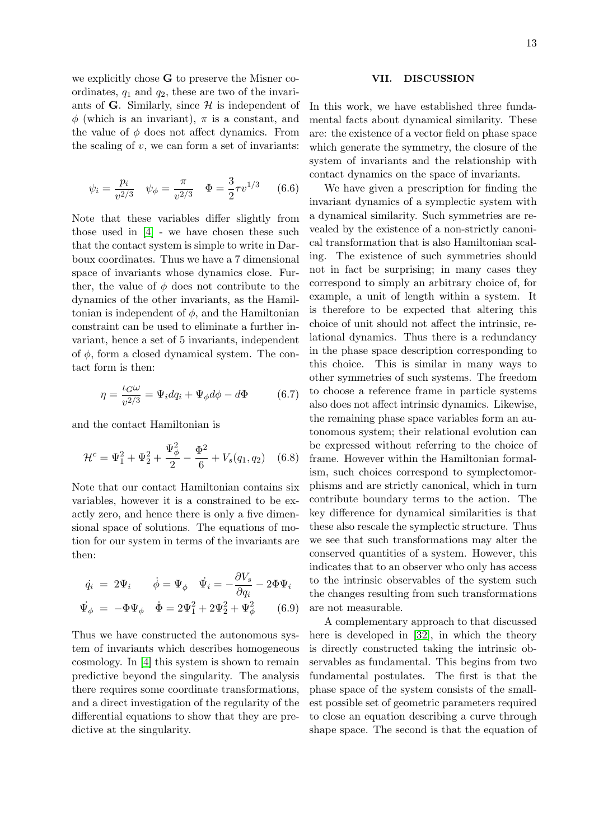we explicitly chose G to preserve the Misner coordinates,  $q_1$  and  $q_2$ , these are two of the invariants of  $G$ . Similarly, since  $H$  is independent of  $\phi$  (which is an invariant),  $\pi$  is a constant, and the value of  $\phi$  does not affect dynamics. From the scaling of  $v$ , we can form a set of invariants:

$$
\psi_i = \frac{p_i}{v^{2/3}} \quad \psi_\phi = \frac{\pi}{v^{2/3}} \quad \Phi = \frac{3}{2} \tau v^{1/3} \quad (6.6)
$$

Note that these variables differ slightly from those used in [\[4\]](#page-13-3) - we have chosen these such that the contact system is simple to write in Darboux coordinates. Thus we have a 7 dimensional space of invariants whose dynamics close. Further, the value of  $\phi$  does not contribute to the dynamics of the other invariants, as the Hamiltonian is independent of  $\phi$ , and the Hamiltonian constraint can be used to eliminate a further invariant, hence a set of 5 invariants, independent of  $\phi$ , form a closed dynamical system. The contact form is then:

$$
\eta = \frac{\iota_G \omega}{v^{2/3}} = \Psi_i dq_i + \Psi_\phi d\phi - d\Phi \tag{6.7}
$$

and the contact Hamiltonian is

$$
\mathcal{H}^c = \Psi_1^2 + \Psi_2^2 + \frac{\Psi_{\phi}^2}{2} - \frac{\Phi^2}{6} + V_s(q_1, q_2) \quad (6.8)
$$

Note that our contact Hamiltonian contains six variables, however it is a constrained to be exactly zero, and hence there is only a five dimensional space of solutions. The equations of motion for our system in terms of the invariants are then:

$$
\dot{q}_i = 2\Psi_i \qquad \dot{\phi} = \Psi_{\phi} \quad \dot{\Psi}_i = -\frac{\partial V_s}{\partial q_i} - 2\Phi\Psi_i
$$

$$
\dot{\Psi}_{\phi} = -\Phi\Psi_{\phi} \quad \dot{\Phi} = 2\Psi_1^2 + 2\Psi_2^2 + \Psi_{\phi}^2 \qquad (6.9)
$$

Thus we have constructed the autonomous system of invariants which describes homogeneous cosmology. In [\[4\]](#page-13-3) this system is shown to remain predictive beyond the singularity. The analysis there requires some coordinate transformations, and a direct investigation of the regularity of the differential equations to show that they are predictive at the singularity.

#### <span id="page-12-0"></span>VII. DISCUSSION

In this work, we have established three fundamental facts about dynamical similarity. These are: the existence of a vector field on phase space which generate the symmetry, the closure of the system of invariants and the relationship with contact dynamics on the space of invariants.

We have given a prescription for finding the invariant dynamics of a symplectic system with a dynamical similarity. Such symmetries are revealed by the existence of a non-strictly canonical transformation that is also Hamiltonian scaling. The existence of such symmetries should not in fact be surprising; in many cases they correspond to simply an arbitrary choice of, for example, a unit of length within a system. It is therefore to be expected that altering this choice of unit should not affect the intrinsic, relational dynamics. Thus there is a redundancy in the phase space description corresponding to this choice. This is similar in many ways to other symmetries of such systems. The freedom to choose a reference frame in particle systems also does not affect intrinsic dynamics. Likewise, the remaining phase space variables form an autonomous system; their relational evolution can be expressed without referring to the choice of frame. However within the Hamiltonian formalism, such choices correspond to symplectomorphisms and are strictly canonical, which in turn contribute boundary terms to the action. The key difference for dynamical similarities is that these also rescale the symplectic structure. Thus we see that such transformations may alter the conserved quantities of a system. However, this indicates that to an observer who only has access to the intrinsic observables of the system such the changes resulting from such transformations are not measurable.

A complementary approach to that discussed here is developed in [\[32\]](#page-14-24), in which the theory is directly constructed taking the intrinsic observables as fundamental. This begins from two fundamental postulates. The first is that the phase space of the system consists of the smallest possible set of geometric parameters required to close an equation describing a curve through shape space. The second is that the equation of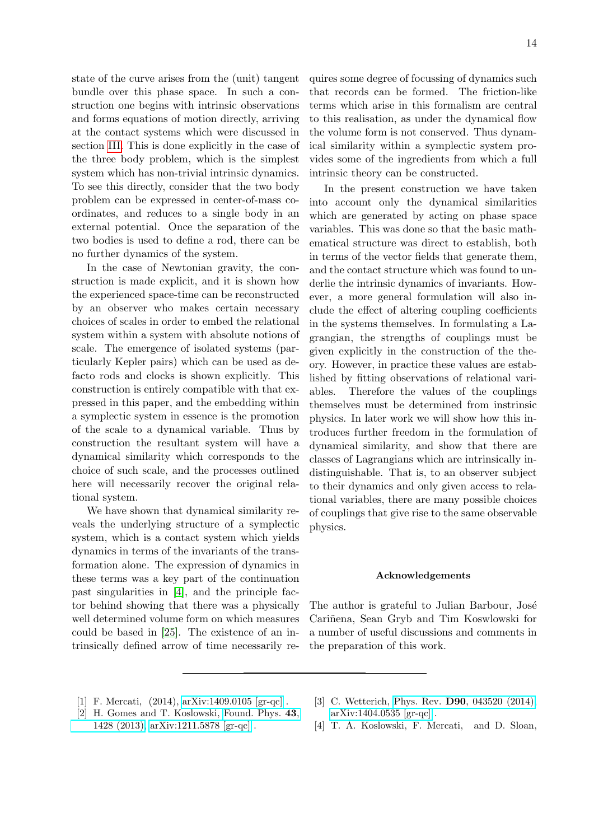state of the curve arises from the (unit) tangent bundle over this phase space. In such a construction one begins with intrinsic observations and forms equations of motion directly, arriving at the contact systems which were discussed in section [III.](#page-4-0) This is done explicitly in the case of the three body problem, which is the simplest system which has non-trivial intrinsic dynamics. To see this directly, consider that the two body problem can be expressed in center-of-mass coordinates, and reduces to a single body in an external potential. Once the separation of the two bodies is used to define a rod, there can be no further dynamics of the system.

In the case of Newtonian gravity, the construction is made explicit, and it is shown how the experienced space-time can be reconstructed by an observer who makes certain necessary choices of scales in order to embed the relational system within a system with absolute notions of scale. The emergence of isolated systems (particularly Kepler pairs) which can be used as defacto rods and clocks is shown explicitly. This construction is entirely compatible with that expressed in this paper, and the embedding within a symplectic system in essence is the promotion of the scale to a dynamical variable. Thus by construction the resultant system will have a dynamical similarity which corresponds to the choice of such scale, and the processes outlined here will necessarily recover the original relational system.

We have shown that dynamical similarity reveals the underlying structure of a symplectic system, which is a contact system which yields dynamics in terms of the invariants of the transformation alone. The expression of dynamics in these terms was a key part of the continuation past singularities in [\[4\]](#page-13-3), and the principle factor behind showing that there was a physically well determined volume form on which measures could be based in [\[25\]](#page-14-18). The existence of an intrinsically defined arrow of time necessarily requires some degree of focussing of dynamics such that records can be formed. The friction-like terms which arise in this formalism are central to this realisation, as under the dynamical flow the volume form is not conserved. Thus dynamical similarity within a symplectic system provides some of the ingredients from which a full intrinsic theory can be constructed.

In the present construction we have taken into account only the dynamical similarities which are generated by acting on phase space variables. This was done so that the basic mathematical structure was direct to establish, both in terms of the vector fields that generate them, and the contact structure which was found to underlie the intrinsic dynamics of invariants. However, a more general formulation will also include the effect of altering coupling coefficients in the systems themselves. In formulating a Lagrangian, the strengths of couplings must be given explicitly in the construction of the theory. However, in practice these values are established by fitting observations of relational variables. Therefore the values of the couplings themselves must be determined from instrinsic physics. In later work we will show how this introduces further freedom in the formulation of dynamical similarity, and show that there are classes of Lagrangians which are intrinsically indistinguishable. That is, to an observer subject to their dynamics and only given access to relational variables, there are many possible choices of couplings that give rise to the same observable physics.

#### Acknowledgements

The author is grateful to Julian Barbour, José Cariñena, Sean Gryb and Tim Koswlowski for a number of useful discussions and comments in the preparation of this work.

- <span id="page-13-0"></span>[1] F. Mercati, (2014), [arXiv:1409.0105 \[gr-qc\]](http://arxiv.org/abs/1409.0105).
- <span id="page-13-1"></span>[2] H. Gomes and T. Koslowski, [Found. Phys.](http://dx.doi.org/10.1007/s10701-013-9754-0) 43, [1428 \(2013\),](http://dx.doi.org/10.1007/s10701-013-9754-0) [arXiv:1211.5878 \[gr-qc\]](http://arxiv.org/abs/1211.5878) .
- <span id="page-13-2"></span>[3] C. Wetterich, Phys. Rev. **D90**[, 043520 \(2014\),](http://dx.doi.org/10.1103/PhysRevD.90.043520) [arXiv:1404.0535 \[gr-qc\]](http://arxiv.org/abs/1404.0535) .
- <span id="page-13-3"></span>[4] T. A. Koslowski, F. Mercati, and D. Sloan,